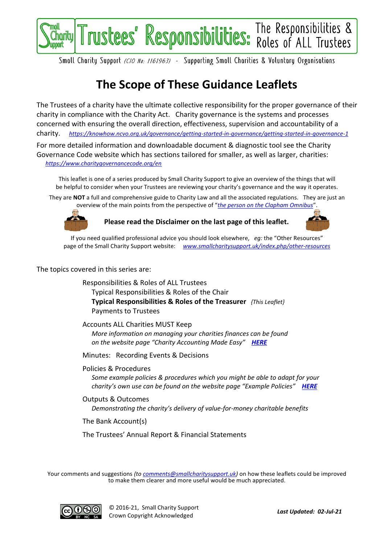

Smoll Chority Support (CIO No: 1161963) - Supporting Smoll Chorities & Voluntory Organisotions

## **The Scope of These Guidance Leaflets**

The Trustees of a charity have the ultimate collective responsibility for the proper governance of their charity in compliance with the Charity Act. Charity governance is the systems and processes concerned with ensuring the overall direction, effectiveness, supervision and accountability of a charity. *<https://knowhow.ncvo.org.uk/governance/getting-started-in-governance/getting-started-in-governance-1>*

For more detailed information and downloadable document & diagnostic tool see the Charity Governance Code website which has sections tailored for smaller, as well as larger, charities: *<https://www.charitygovernancecode.org/en>*

This leaflet is one of a series produced by Small Charity Support to give an overview of the things that will be helpful to consider when your Trustees are reviewing your charity's governance and the way it operates.

They are **NOT** a full and comprehensive guide to Charity Law and all the associated regulations. They are just an overview of the main points from the perspective of "*[the person on the Clapham Omnibus](https://en.wikipedia.org/wiki/The_man_on_the_Clapham_omnibus)*".



**Please read the Disclaimer on the last page of this leaflet.**



If you need qualified professional advice you should look elsewhere, *eg:* the "Other Resources" page of the Small Charity Support website: *[www.smallcharitysupport.uk/index.php/other-resources](http://www.smallcharitysupport.uk/index.php/other-resources)*

The topics covered in this series are:

Responsibilities & Roles of ALL Trustees Typical Responsibilities & Roles of the Chair **Typical Responsibilities & Roles of the Treasurer** *{This Leaflet}* Payments to Trustees

Accounts ALL Charities MUST Keep *More information on managing your charities finances can be found on the website page "Charity Accounting Made Easy" [HERE](https://www.smallcharitysupport.uk/index.php/accountsmadeeasy)*

Minutes: Recording Events & Decisions

Policies & Procedures *Some example policies & procedures which you might be able to adapt for your charity's own use can be found on the website page "Example Policies" [HERE](https://www.smallcharitysupport.uk/index.php/example-policies)*

Outputs & Outcomes *Demonstrating the charity's delivery of value-for-money charitable benefits*

The Bank Account(s)

The Trustees' Annual Report & Financial Statements

Your comments and suggestions *(to [comments@smallcharitysupport.uk\)](mailto:comments@smallcharitysupport.uk)* on how these leaflets could be improved to make them clearer and more useful would be much appreciated.

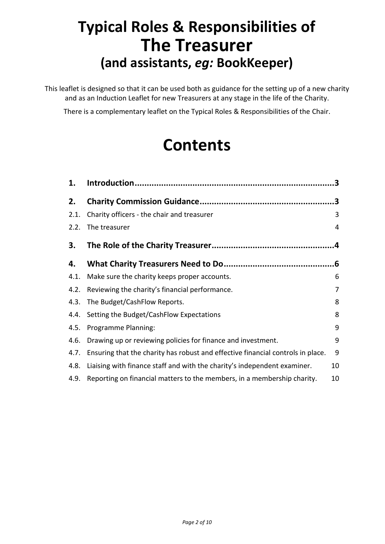# **Typical Roles & Responsibilities of The Treasurer (and assistants,** *eg:* **BookKeeper)**

This leaflet is designed so that it can be used both as guidance for the setting up of a new charity and as an Induction Leaflet for new Treasurers at any stage in the life of the Charity.

There is a complementary leaflet on the Typical Roles & Responsibilities of the Chair.

# **Contents**

| 1.   |                                                                                 |    |
|------|---------------------------------------------------------------------------------|----|
| 2.   |                                                                                 | .3 |
| 2.1. | Charity officers - the chair and treasurer                                      | 3  |
| 2.2. | The treasurer                                                                   | 4  |
| 3.   |                                                                                 | .4 |
| 4.   |                                                                                 | 6. |
| 4.1. | Make sure the charity keeps proper accounts.                                    | 6  |
| 4.2. | Reviewing the charity's financial performance.                                  | 7  |
| 4.3. | The Budget/CashFlow Reports.                                                    | 8  |
| 4.4. | Setting the Budget/CashFlow Expectations                                        | 8  |
| 4.5. | Programme Planning:                                                             | 9  |
| 4.6. | Drawing up or reviewing policies for finance and investment.                    | 9  |
| 4.7. | Ensuring that the charity has robust and effective financial controls in place. | 9  |
| 4.8. | Liaising with finance staff and with the charity's independent examiner.        | 10 |
| 4.9. | Reporting on financial matters to the members, in a membership charity.         | 10 |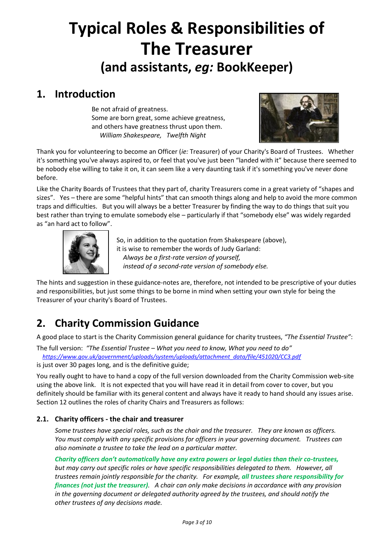# **Typical Roles & Responsibilities of The Treasurer (and assistants,** *eg:* **BookKeeper)**

### <span id="page-2-0"></span>**1. Introduction**

Be not afraid of greatness. Some are born great, some achieve greatness, and others have greatness thrust upon them. *William Shakespeare, Twelfth Night*



Thank you for volunteering to become an Officer (*ie:* Treasurer) of your Charity's Board of Trustees. Whether it's something you've always aspired to, or feel that you've just been "landed with it" because there seemed to be nobody else willing to take it on, it can seem like a very daunting task if it's something you've never done before.

Like the Charity Boards of Trustees that they part of, charity Treasurers come in a great variety of "shapes and sizes". Yes – there are some "helpful hints" that can smooth things along and help to avoid the more common traps and difficulties. But you will always be a better Treasurer by finding the way to do things that suit you best rather than trying to emulate somebody else – particularly if that "somebody else" was widely regarded as "an hard act to follow".



So, in addition to the quotation from Shakespeare (above), it is wise to remember the words of Judy Garland: *Always be a first-rate version of yourself, instead of a second-rate version of somebody else.*

The hints and suggestion in these guidance-notes are, therefore, not intended to be prescriptive of your duties and responsibilities, but just some things to be borne in mind when setting your own style for being the Treasurer of your charity's Board of Trustees.

## <span id="page-2-1"></span>**2. Charity Commission Guidance**

A good place to start is the Charity Commission general guidance for charity trustees, *"The Essential Trustee"*:

The full version: *"The Essential Trustee – What you need to know, What you need to do" [https://www.gov.uk/government/uploads/system/uploads/attachment\\_data/file/451020/CC3.pdf](https://www.gov.uk/government/uploads/system/uploads/attachment_data/file/451020/CC3.pdf)*

is just over 30 pages long, and is the definitive guide;

You really ought to have to hand a copy of the full version downloaded from the Charity Commission web-site using the above link. It is not expected that you will have read it in detail from cover to cover, but you definitely should be familiar with its general content and always have it ready to hand should any issues arise. Section 12 outlines the roles of charity Chairs and Treasurers as follows:

#### <span id="page-2-2"></span>**2.1. Charity officers - the chair and treasurer**

*Some trustees have special roles, such as the chair and the treasurer. They are known as officers. You must comply with any specific provisions for officers in your governing document. Trustees can also nominate a trustee to take the lead on a particular matter.* 

*Charity officers don't automatically have any extra powers or legal duties than their co-trustees, but may carry out specific roles or have specific responsibilities delegated to them. However, all trustees remain jointly responsible for the charity. For example, all trustees share responsibility for finances (not just the treasurer). A chair can only make decisions in accordance with any provision in the governing document or delegated authority agreed by the trustees, and should notify the other trustees of any decisions made.*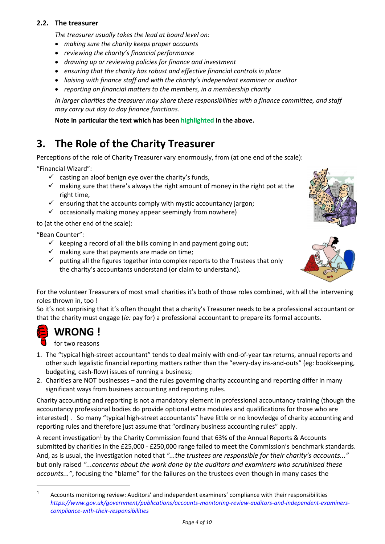#### <span id="page-3-0"></span>**2.2. The treasurer**

*The treasurer usually takes the lead at board level on:* 

- *making sure the charity keeps proper accounts*
- *reviewing the charity's financial performance*
- *drawing up or reviewing policies for finance and investment*
- *ensuring that the charity has robust and effective financial controls in place*
- *liaising with finance staff and with the charity's independent examiner or auditor*
- *reporting on financial matters to the members, in a membership charity*

*In larger charities the treasurer may share these responsibilities with a finance committee, and staff may carry out day to day finance functions.* 

**Note in particular the text which has been highlighted in the above.**

### <span id="page-3-1"></span>**3. The Role of the Charity Treasurer**

Perceptions of the role of Charity Treasurer vary enormously, from (at one end of the scale):

"Financial Wizard":

- $\checkmark$  casting an aloof benign eye over the charity's funds,
- $\checkmark$  making sure that there's always the right amount of money in the right pot at the right time,
- $\checkmark$  ensuring that the accounts comply with mystic accountancy jargon;
- $\checkmark$  occasionally making money appear seemingly from nowhere)

to (at the other end of the scale):

"Bean Counter":

- $\checkmark$  keeping a record of all the bills coming in and payment going out;
- $\checkmark$  making sure that payments are made on time;
- $\checkmark$  putting all the figures together into complex reports to the Trustees that only the charity's accountants understand (or claim to understand).



For the volunteer Treasurers of most small charities it's both of those roles combined, with all the intervening roles thrown in, too !

So it's not surprising that it's often thought that a charity's Treasurer needs to be a professional accountant or that the charity must engage (*ie:* pay for) a professional accountant to prepare its formal accounts.



- 1. The "typical high-street accountant" tends to deal mainly with end-of-year tax returns, annual reports and other such legalistic financial reporting matters rather than the "every-day ins-and-outs" (eg: bookkeeping, budgeting, cash-flow) issues of running a business;
- 2. Charities are NOT businesses and the rules governing charity accounting and reporting differ in many significant ways from business accounting and reporting rules.

Charity accounting and reporting is not a mandatory element in professional accountancy training (though the accountancy professional bodies do provide optional extra modules and qualifications for those who are interested) . So many "typical high-street accountants" have little or no knowledge of charity accounting and reporting rules and therefore just assume that "ordinary business accounting rules" apply.

A recent investigation<sup>1</sup> by the Charity Commission found that 63% of the Annual Reports & Accounts submitted by charities in the £25,000 - £250,000 range failed to meet the Commission's benchmark standards. And, as is usual, the investigation noted that *"...the trustees are responsible for their charity's accounts..."* but only raised *"...concerns about the work done by the auditors and examiners who scrutinised these accounts..."*, focusing the "blame" for the failures on the trustees even though in many cases the

<sup>&</sup>lt;sup>1</sup> Accounts monitoring review: Auditors' and independent examiners' compliance with their responsibilities *[https://www.gov.uk/government/publications/accounts-monitoring-review-auditors-and-independent-examiners](https://www.gov.uk/government/publications/accounts-monitoring-review-auditors-and-independent-examiners-compliance-with-their-responsibilities)[compliance-with-their-responsibilities](https://www.gov.uk/government/publications/accounts-monitoring-review-auditors-and-independent-examiners-compliance-with-their-responsibilities)*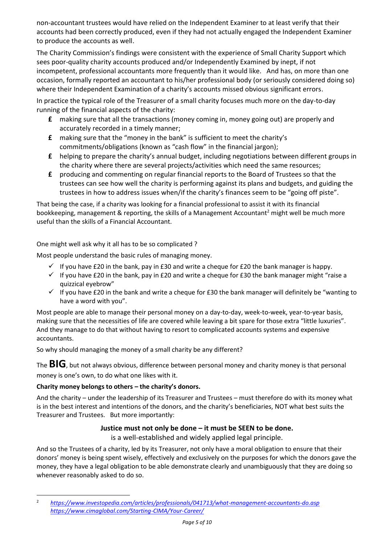non-accountant trustees would have relied on the Independent Examiner to at least verify that their accounts had been correctly produced, even if they had not actually engaged the Independent Examiner to produce the accounts as well.

The Charity Commission's findings were consistent with the experience of Small Charity Support which sees poor-quality charity accounts produced and/or Independently Examined by inept, if not incompetent, professional accountants more frequently than it would like. And has, on more than one occasion, formally reported an accountant to his/her professional body (or seriously considered doing so) where their Independent Examination of a charity's accounts missed obvious significant errors.

In practice the typical role of the Treasurer of a small charity focuses much more on the day-to-day running of the financial aspects of the charity:

- **£** making sure that all the transactions (money coming in, money going out) are properly and accurately recorded in a timely manner;
- **£** making sure that the "money in the bank" is sufficient to meet the charity's commitments/obligations (known as "cash flow" in the financial jargon);
- **£** helping to prepare the charity's annual budget, including negotiations between different groups in the charity where there are several projects/activities which need the same resources;
- **£** producing and commenting on regular financial reports to the Board of Trustees so that the trustees can see how well the charity is performing against its plans and budgets, and guiding the trustees in how to address issues when/if the charity's finances seem to be "going off piste".

That being the case, if a charity was looking for a financial professional to assist it with its financial bookkeeping, management & reporting, the skills of a Management Accountant<sup>2</sup> might well be much more useful than the skills of a Financial Accountant.

One might well ask why it all has to be so complicated ?

Most people understand the basic rules of managing money.

- $\checkmark$  If you have £20 in the bank, pay in £30 and write a cheque for £20 the bank manager is happy.
- $\checkmark$  If you have £20 in the bank, pay in £20 and write a cheque for £30 the bank manager might "raise a quizzical eyebrow"
- $\checkmark$  If you have £20 in the bank and write a cheque for £30 the bank manager will definitely be "wanting to have a word with you".

Most people are able to manage their personal money on a day-to-day, week-to-week, year-to-year basis, making sure that the necessities of life are covered while leaving a bit spare for those extra "little luxuries". And they manage to do that without having to resort to complicated accounts systems and expensive accountants.

So why should managing the money of a small charity be any different?

The **BIG**, but not always obvious, difference between personal money and charity money is that personal money is one's own, to do what one likes with it.

#### **Charity money belongs to others – the charity's donors.**

And the charity – under the leadership of its Treasurer and Trustees – must therefore do with its money what is in the best interest and intentions of the donors, and the charity's beneficiaries, NOT what best suits the Treasurer and Trustees. But more importantly:

#### **Justice must not only be done – it must be SEEN to be done.**

is a well-established and widely applied legal principle.

And so the Trustees of a charity, led by its Treasurer, not only have a moral obligation to ensure that their donors' money is being spent wisely, effectively and exclusively on the purposes for which the donors gave the money, they have a legal obligation to be able demonstrate clearly and unambiguously that they are doing so whenever reasonably asked to do so.

<sup>2</sup> *<https://www.investopedia.com/articles/professionals/041713/what-management-accountants-do.asp> <https://www.cimaglobal.com/Starting-CIMA/Your-Career/>*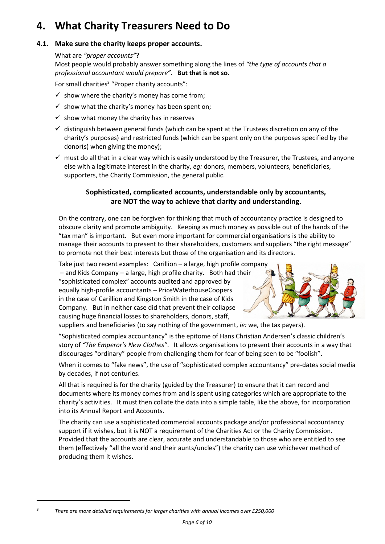### <span id="page-5-0"></span>**4. What Charity Treasurers Need to Do**

#### <span id="page-5-1"></span>**4.1. Make sure the charity keeps proper accounts.**

What are *"proper accounts"*?

Most people would probably answer something along the lines of *"the type of accounts that a professional accountant would prepare"*. **But that is not so.**

For small charities<sup>3</sup> "Proper charity accounts":

- $\checkmark$  show where the charity's money has come from;
- $\checkmark$  show what the charity's money has been spent on;
- $\checkmark$  show what money the charity has in reserves
- $\checkmark$  distinguish between general funds (which can be spent at the Trustees discretion on any of the charity's purposes) and restricted funds (which can be spent only on the purposes specified by the donor(s) when giving the money);
- $\checkmark$  must do all that in a clear way which is easily understood by the Treasurer, the Trustees, and anyone else with a legitimate interest in the charity, *eg:* donors, members, volunteers, beneficiaries, supporters, the Charity Commission, the general public.

#### **Sophisticated, complicated accounts, understandable only by accountants, are NOT the way to achieve that clarity and understanding.**

On the contrary, one can be forgiven for thinking that much of accountancy practice is designed to obscure clarity and promote ambiguity. Keeping as much money as possible out of the hands of the "tax man" is important. But even more important for commercial organisations is the ability to manage their accounts to present to their shareholders, customers and suppliers "the right message" to promote not their best interests but those of the organisation and its directors.

Take just two recent examples: Carillion – a large, high profile company – and Kids Company – a large, high profile charity. Both had their "sophisticated complex" accounts audited and approved by equally high-profile accountants – PriceWaterhouseCoopers in the case of Carillion and Kingston Smith in the case of Kids Company. But in neither case did that prevent their collapse causing huge financial losses to shareholders, donors, staff,



suppliers and beneficiaries (to say nothing of the government, *ie:* we, the tax payers).

"Sophisticated complex accountancy" is the epitome of Hans Christian Andersen's classic children's story of *"The Emperor's New Clothes"*. It allows organisations to present their accounts in a way that discourages "ordinary" people from challenging them for fear of being seen to be "foolish".

When it comes to "fake news", the use of "sophisticated complex accountancy" pre-dates social media by decades, if not centuries.

All that is required is for the charity (guided by the Treasurer) to ensure that it can record and documents where its money comes from and is spent using categories which are appropriate to the charity's activities. It must then collate the data into a simple table, like the above, for incorporation into its Annual Report and Accounts.

The charity can use a sophisticated commercial accounts package and/or professional accountancy support if it wishes, but it is NOT a requirement of the Charities Act or the Charity Commission. Provided that the accounts are clear, accurate and understandable to those who are entitled to see them (effectively "all the world and their aunts/uncles") the charity can use whichever method of producing them it wishes.

3

*There are more detailed requirements for larger charities with annual incomes over £250,000*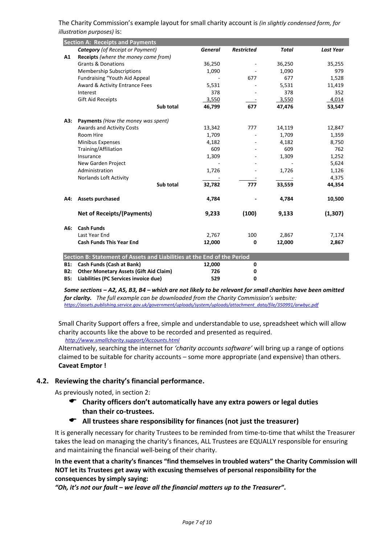The Charity Commission's example layout for small charity account is *(in slightly condensed form, for illustration purposes)* is:

|                                                                         | <b>Section A: Receipts and Payments</b>     |                |                   |              |                  |  |  |  |
|-------------------------------------------------------------------------|---------------------------------------------|----------------|-------------------|--------------|------------------|--|--|--|
|                                                                         | <b>Category</b> (of Receipt or Payment)     | <b>General</b> | <b>Restricted</b> | <b>Total</b> | <b>Last Year</b> |  |  |  |
| A1                                                                      | <b>Receipts</b> (where the money came from) |                |                   |              |                  |  |  |  |
|                                                                         | <b>Grants &amp; Donations</b>               | 36,250         |                   | 36,250       | 35,255           |  |  |  |
|                                                                         | <b>Membership Subscriptions</b>             | 1,090          |                   | 1,090        | 979              |  |  |  |
|                                                                         | Fundraising "Youth Aid Appeal               |                | 677               | 677          | 1,528            |  |  |  |
|                                                                         | Award & Activity Entrance Fees              | 5,531          |                   | 5,531        | 11,419           |  |  |  |
|                                                                         | Interest                                    | 378            |                   | 378          | 352              |  |  |  |
|                                                                         | Gift Aid Receipts                           | 3,550          |                   | 3,550        | 4,014            |  |  |  |
|                                                                         | Sub total                                   | 46,799         | 677               | 47,476       | 53,547           |  |  |  |
| A3:                                                                     | <b>Payments</b> (How the money was spent)   |                |                   |              |                  |  |  |  |
|                                                                         | <b>Awards and Activity Costs</b>            | 13,342         | 777               | 14,119       | 12,847           |  |  |  |
|                                                                         | Room Hire                                   | 1,709          |                   | 1,709        | 1,359            |  |  |  |
|                                                                         | Minibus Expenses                            | 4,182          |                   | 4,182        | 8,750            |  |  |  |
|                                                                         | Training/Affiliation                        | 609            |                   | 609          | 762              |  |  |  |
|                                                                         | Insurance                                   | 1,309          |                   | 1,309        | 1,252            |  |  |  |
|                                                                         | New Garden Project                          |                |                   |              | 5,624            |  |  |  |
|                                                                         | Administration                              | 1,726          |                   | 1,726        | 1,126            |  |  |  |
|                                                                         | Norlands Loft Activity                      |                |                   |              | 4,375            |  |  |  |
|                                                                         | Sub total                                   | 32,782         | 777               | 33,559       | 44,354           |  |  |  |
| A4:                                                                     | <b>Assets purchased</b>                     | 4,784          |                   | 4,784        | 10,500           |  |  |  |
|                                                                         | <b>Net of Receipts/(Payments)</b>           | 9,233          | (100)             | 9,133        | (1, 307)         |  |  |  |
| A6:                                                                     | <b>Cash Funds</b>                           |                |                   |              |                  |  |  |  |
|                                                                         | Last Year End                               | 2,767          | 100               | 2,867        | 7,174            |  |  |  |
|                                                                         | <b>Cash Funds This Year End</b>             | 12,000         | 0                 | 12,000       | 2,867            |  |  |  |
| Section B: Statement of Assets and Liabilities at the End of the Period |                                             |                |                   |              |                  |  |  |  |
| <b>B1:</b>                                                              | Cash Funds (Cash at Bank)                   | 12,000         | 0                 |              |                  |  |  |  |

**B1: Cash Funds (Cash at Bank) 12,000 0 B2: Other Monetary Assets (Gift Aid Claim) 726 0 B5: Liabilities (PC Services invoice due) 529 0**

*Some sections – A2, A5, B3, B4 – which are not likely to be relevant for small charities have been omitted for clarity. The full example can be downloaded from the Charity Commission's website: [https://assets.publishing.service.gov.uk/government/uploads/system/uploads/attachment\\_data/file/350991/arwbyc.pdf](https://assets.publishing.service.gov.uk/government/uploads/system/uploads/attachment_data/file/350991/arwbyc.pdf)*

Small Charity Support offers a free, simple and understandable to use, spreadsheet which will allow charity accounts like the above to be recorded and presented as required.

 *<http://www.smallcharity.support/Accounts.html>*

Alternatively, searching the internet for *'charity accounts software'* will bring up a range of options claimed to be suitable for charity accounts – some more appropriate (and expensive) than others. **Caveat Emptor !**

#### <span id="page-6-0"></span>**4.2. Reviewing the charity's financial performance.**

As previously noted, in section 2:

- **Charity officers don't automatically have any extra powers or legal duties than their co-trustees.**
- **All trustees share responsibility for finances (not just the treasurer)**

It is generally necessary for charity Trustees to be reminded from time-to-time that whilst the Treasurer takes the lead on managing the charity's finances, ALL Trustees are EQUALLY responsible for ensuring and maintaining the financial well-being of their charity.

**In the event that a charity's finances "find themselves in troubled waters" the Charity Commission will NOT let its Trustees get away with excusing themselves of personal responsibility for the consequences by simply saying:**

*"Oh, it's not our fault – we leave all the financial matters up to the Treasurer"***.**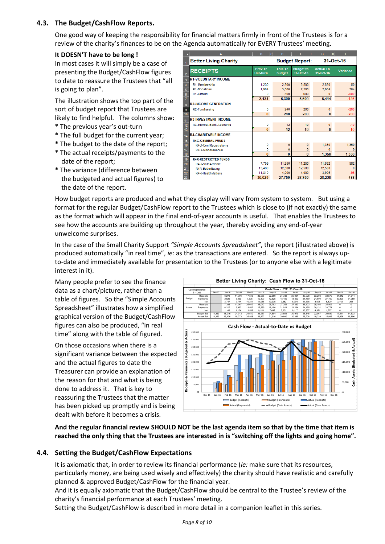#### <span id="page-7-0"></span>**4.3. The Budget/CashFlow Reports.**

One good way of keeping the responsibility for financial matters firmly in front of the Trustees is for a review of the charity's finances to be on the Agenda automatically for EVERY Trustees' meeting.

#### **It DOESN'T have to be long !**

In most cases it will simply be a case of presenting the Budget/CashFlow figures to date to reassure the Trustees that "all is going to plan".

The illustration shows the top part of the sort of budget report that Trustees are likely to find helpful. The columns show:

- **\*** The previous year's out-turn
- **\*** The full budget for the current year;
- **\*** The budget to the date of the report; **\*** The actual receipts/payments to the
- date of the report; **\*** The variance (difference between the budgeted and actual figures) to the date of the report.

|                  | A                            | B<br>lc.                   | D                               | F<br>F                        | G<br>н                        |              |  |
|------------------|------------------------------|----------------------------|---------------------------------|-------------------------------|-------------------------------|--------------|--|
|                  | <b>Better Living Charity</b> | <b>Budget Report:</b>      |                                 |                               | 31-Oct-16                     |              |  |
| $\overline{2}$   | <b>RECEIPTS</b>              | <b>Prev Yr</b><br>Out-turn | <b>This Yr</b><br><b>Budget</b> | <b>Budget to</b><br>31-Oct-16 | <b>Actual To</b><br>31-Oct-16 | Variance     |  |
| 3                | <b>R1-VOLUNTARY INCOME</b>   |                            |                                 |                               |                               |              |  |
| 4                | R1-Membership                | 1,230                      | 2,500                           | 2.500                         | 2.550                         | 50           |  |
| 5                | R1-Donations                 | 1.904                      | 3.000                           | 2.500                         | 2.864                         | 364          |  |
| 6                | R1-GiftAid                   | n                          | 800                             | 600                           | $\Omega$                      | $-600$       |  |
| $\overline{7}$   |                              | 3,134                      | 6,300                           | 5,600                         | 5,414                         | $-186$       |  |
| 8                | <b>R2-INCOME GENERATION</b>  |                            |                                 |                               |                               |              |  |
| 9                | R <sub>2</sub> -Fundraising  | $\mathbf{0}$               | 240                             | 200                           | $\mathbf{0}$                  | $-200$       |  |
| 10               |                              | $\mathbf{0}$               | 240                             | 200                           | $\bf{0}$                      | $-200$       |  |
| 11               | <b>R3-INVESTMENT INCOME</b>  |                            |                                 |                               |                               |              |  |
| 12               | R3-Interest-Bank Accounts    | 0                          | 12                              | 10                            | $\mathbf{0}$                  | $-10$        |  |
| 13 <sup>°</sup>  |                              | $\bf{0}$                   | 12                              | 10 <sup>10</sup>              | $\mathbf{0}$                  | $-10$        |  |
| 14               | <b>R4-CHARITABLE INCOME</b>  |                            |                                 |                               |                               |              |  |
| 15 <sub>15</sub> | <b>R4G-GENERAL FUNDS</b>     |                            |                                 |                               |                               |              |  |
| 16 <sup>2</sup>  | R4G-ConfRegistrations        | 0                          | $\mathbf{0}$                    | $\mathbf{0}$                  | 1.350                         | 1,350        |  |
| 17               | R4G-Miscellaneous            | 0                          | 0                               | 0                             | $\Omega$                      |              |  |
| 18               |                              | $\mathbf{0}$               | $\bf{0}$                        | $\mathbf{0}$                  | 1,350                         | 1,350        |  |
| 19               | <b>R4R-RESTRICTED FUNDS</b>  |                            |                                 |                               |                               |              |  |
| 20               | R4R-SafeAtHome               | 7.759                      | 11,250                          | 11.250                        | 11.832                        | 582          |  |
| 21               | R4R-BetterEating             | 15,460                     | 12,500                          | 12,500                        | 12.500                        | $\mathbf{0}$ |  |
| 22               | R4R-HealthMatters            | 11,810                     | 4.000                           | 4.000                         | 3.905                         | $-95$        |  |
| 23               |                              | 35,029                     | 27,750                          | 27,750                        | 28,238                        | 488          |  |

How budget reports are produced and what they display will vary from system to system. But using a format for the regular Budget/CashFlow report to the Trustees which is close to (if not exactly) the same as the format which will appear in the final end-of-year accounts is useful. That enables the Trustees to see how the accounts are building up throughout the year, thereby avoiding any end-of-year unwelcome surprises.

In the case of the Small Charity Support *"Simple Accounts Spreadsheet"*, the report (illustrated above) is produced automatically "in real time", *ie:* as the transactions are entered. So the report is always upto-date and immediately available for presentation to the Trustees (or to anyone else with a legitimate interest in it).

Many people prefer to see the finance data as a chart/picture, rather than a table of figures. So the "Simple Accounts Spreadsheet" illustrates how a simplified graphical version of the Budget/CashFlow figures can also be produced, "in real time" along with the table of figured.

On those occasions when there is a significant variance between the expected and the actual figures to date the Treasurer can provide an explanation of the reason for that and what is being done to address it. That is key to reassuring the Trustees that the matter has been picked up promptly and is being dealt with before it becomes a crisis.



**And the regular financial review SHOULD NOT be the last agenda item so that by the time that item is reached the only thing that the Trustees are interested in is "switching off the lights and going home".**

#### <span id="page-7-1"></span>**4.4. Setting the Budget/CashFlow Expectations**

It is axiomatic that, in order to review its financial performance (*ie:* make sure that its resources, particularly money, are being used wisely and effectively) the charity should have realistic and carefully planned & approved Budget/CashFlow for the financial year.

And it is equally axiomatic that the Budget/CashFlow should be central to the Trustee's review of the charity's financial performance at each Trustees' meeting.

Setting the Budget/CashFlow is described in more detail in a companion leaflet in this series.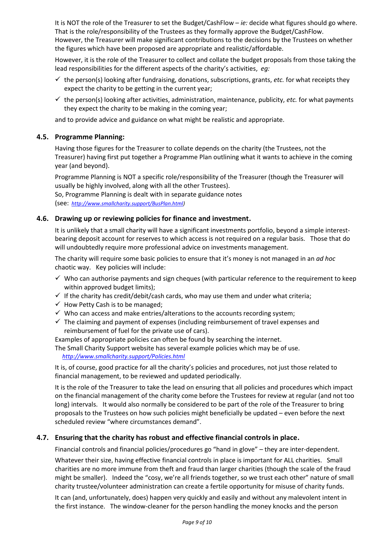It is NOT the role of the Treasurer to set the Budget/CashFlow – *ie:* decide what figures should go where. That is the role/responsibility of the Trustees as they formally approve the Budget/CashFlow. However, the Treasurer will make significant contributions to the decisions by the Trustees on whether the figures which have been proposed are appropriate and realistic/affordable.

However, it is the role of the Treasurer to collect and collate the budget proposals from those taking the lead responsibilities for the different aspects of the charity's activities, *eg:*

- ✓ the person(s) looking after fundraising, donations, subscriptions, grants, *etc.* for what receipts they expect the charity to be getting in the current year;
- $\checkmark$  the person(s) looking after activities, administration, maintenance, publicity, *etc.* for what payments they expect the charity to be making in the coming year;

and to provide advice and guidance on what might be realistic and appropriate.

#### <span id="page-8-0"></span>**4.5. Programme Planning:**

Having those figures for the Treasurer to collate depends on the charity (the Trustees, not the Treasurer) having first put together a Programme Plan outlining what it wants to achieve in the coming year (and beyond).

Programme Planning is NOT a specific role/responsibility of the Treasurer (though the Treasurer will usually be highly involved, along with all the other Trustees). So, Programme Planning is dealt with in separate guidance notes

(see: *[http://www.smallcharity.support/BusPlan.html\)](http://www.smallcharity.support/BusPlan.html)*

#### <span id="page-8-1"></span>**4.6. Drawing up or reviewing policies for finance and investment.**

It is unlikely that a small charity will have a significant investments portfolio, beyond a simple interestbearing deposit account for reserves to which access is not required on a regular basis. Those that do will undoubtedly require more professional advice on investments management.

The charity will require some basic policies to ensure that it's money is not managed in an *ad hoc* chaotic way. Key policies will include:

- $\checkmark$  Who can authorise payments and sign cheques (with particular reference to the requirement to keep within approved budget limits);
- $\checkmark$  If the charity has credit/debit/cash cards, who may use them and under what criteria;
- $\checkmark$  How Petty Cash is to be managed;
- $\checkmark$  Who can access and make entries/alterations to the accounts recording system;
- $\checkmark$  The claiming and payment of expenses (including reimbursement of travel expenses and reimbursement of fuel for the private use of cars).

Examples of appropriate policies can often be found by searching the internet.

The Small Charity Support website has several example policies which may be of use.  *<http://www.smallcharity.support/Policies.html>*

It is, of course, good practice for all the charity's policies and procedures, not just those related to financial management, to be reviewed and updated periodically.

It is the role of the Treasurer to take the lead on ensuring that all policies and procedures which impact on the financial management of the charity come before the Trustees for review at regular (and not too long) intervals. It would also normally be considered to be part of the role of the Treasurer to bring proposals to the Trustees on how such policies might beneficially be updated – even before the next scheduled review "where circumstances demand".

#### <span id="page-8-2"></span>**4.7. Ensuring that the charity has robust and effective financial controls in place.**

Financial controls and financial policies/procedures go "hand in glove" – they are inter-dependent.

Whatever their size, having effective financial controls in place is important for ALL charities. Small charities are no more immune from theft and fraud than larger charities (though the scale of the fraud might be smaller). Indeed the "cosy, we're all friends together, so we trust each other" nature of small charity trustee/volunteer administration can create a fertile opportunity for misuse of charity funds.

It can (and, unfortunately, does) happen very quickly and easily and without any malevolent intent in the first instance. The window-cleaner for the person handling the money knocks and the person